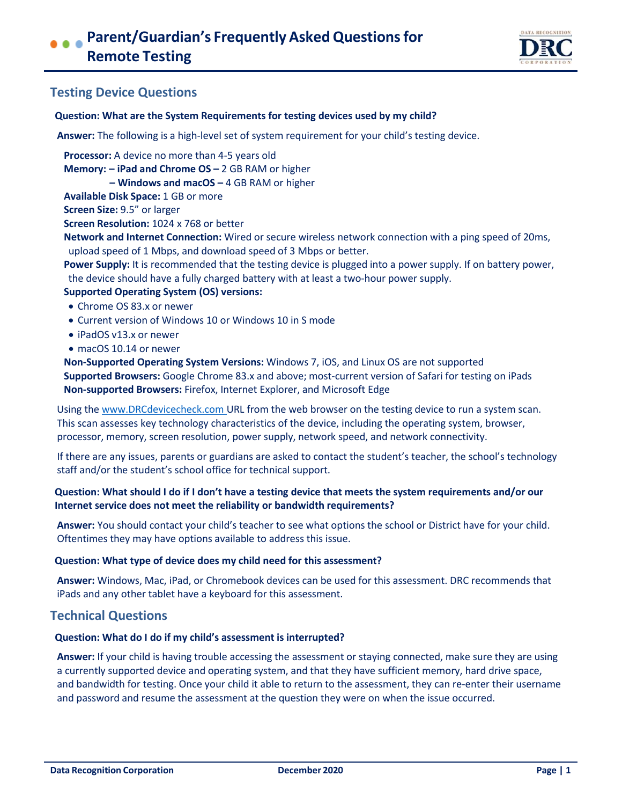

# **Testing Device Questions**

## **Question: What are the System Requirements for testing devices used by my child?**

**Answer:** The following is a high-level set of system requirement for your child's testing device.

**Processor:** A device no more than 4-5 years old

**Memory: – iPad and Chrome OS –** 2 GB RAM or higher

**– Windows and macOS –** 4 GB RAM or higher

**Available Disk Space:** 1 GB or more

**Screen Size:** 9.5" or larger

**Screen Resolution:** 1024 x 768 or better

**Network and Internet Connection:** Wired or secure wireless network connection with a ping speed of 20ms, upload speed of 1 Mbps, and download speed of 3 Mbps or better.

**Power Supply:** It is recommended that the testing device is plugged into a power supply. If on battery power, the device should have a fully charged battery with at least a two-hour power supply.

## **Supported Operating System (OS) versions:**

- Chrome OS 83.x or newer
- Current version of Windows 10 or Windows 10 in S mode
- iPadOS v13.x or newer
- macOS 10.14 or newer

**Non-Supported Operating System Versions:** Windows 7, iOS, and Linux OS are not supported **Supported Browsers:** Google Chrome 83.x and above; most-current version of Safari for testing on iPads **Non-supported Browsers:** Firefox, Internet Explorer, and Microsoft Edge

Using the [www.DRCdevicecheck.com](http://www.drcdevicecheck.com/) URL from the web browser on the testing device to run a system scan. This scan assesses key technology characteristics of the device, including the operating system, browser, processor, memory, screen resolution, power supply, network speed, and network connectivity.

If there are any issues, parents or guardians are asked to contact the student's teacher, the school's technology staff and/or the student's school office for technical support.

## **Question: What should I do if I don't have a testing device that meets the system requirements and/or our Internet service does not meet the reliability or bandwidth requirements?**

**Answer:** You should contact your child's teacher to see what options the school or District have for your child. Oftentimes they may have options available to address this issue.

#### **Question: What type of device does my child need for this assessment?**

**Answer:** Windows, Mac, iPad, or Chromebook devices can be used for this assessment. DRC recommends that iPads and any other tablet have a keyboard for this assessment.

## **Technical Questions**

#### **Question: What do I do if my child's assessment is interrupted?**

**Answer:** If your child is having trouble accessing the assessment or staying connected, make sure they are using a currently supported device and operating system, and that they have sufficient memory, hard drive space, and bandwidth for testing. Once your child it able to return to the assessment, they can re-enter their username and password and resume the assessment at the question they were on when the issue occurred.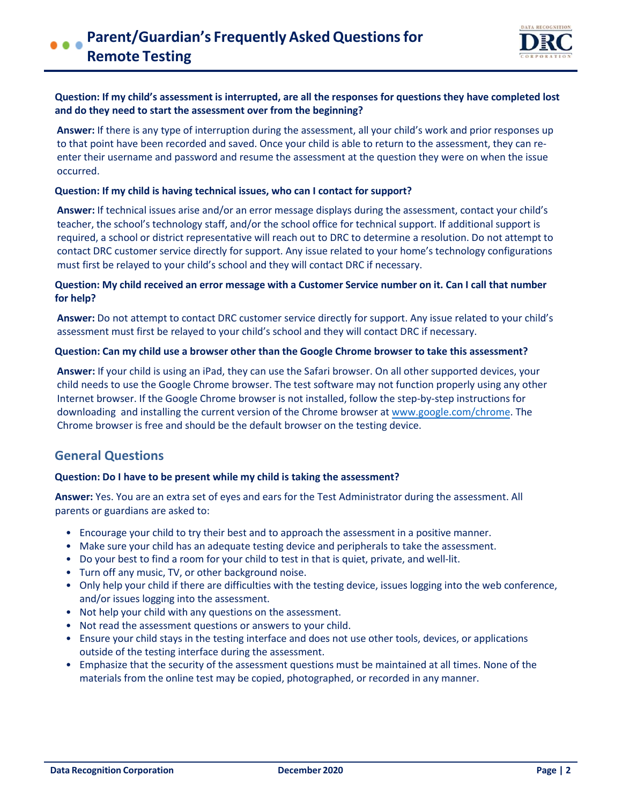

## **Question: If my child's assessment is interrupted, are all the responses for questions they have completed lost and do they need to start the assessment over from the beginning?**

**Answer:** If there is any type of interruption during the assessment, all your child's work and prior responses up to that point have been recorded and saved. Once your child is able to return to the assessment, they can reenter their username and password and resume the assessment at the question they were on when the issue occurred.

## **Question: If my child is having technical issues, who can I contact for support?**

**Answer:** If technical issues arise and/or an error message displays during the assessment, contact your child's teacher, the school's technology staff, and/or the school office for technical support. If additional support is required, a school or district representative will reach out to DRC to determine a resolution. Do not attempt to contact DRC customer service directly for support. Any issue related to your home's technology configurations must first be relayed to your child's school and they will contact DRC if necessary.

## **Question: My child received an error message with a Customer Service number on it. Can I call that number for help?**

**Answer:** Do not attempt to contact DRC customer service directly for support. Any issue related to your child's assessment must first be relayed to your child's school and they will contact DRC if necessary.

#### **Question: Can my child use a browser other than the Google Chrome browser to take this assessment?**

**Answer:** If your child is using an iPad, they can use the Safari browser. On all other supported devices, your child needs to use the Google Chrome browser. The test software may not function properly using any other Internet browser. If the Google Chrome browser is not installed, follow the step-by-step instructions for downloading and installing the current version of the Chrome browser at [www.google.com/chrome.](https://www.google.com/chrome/) The Chrome browser is free and should be the default browser on the testing device.

## **General Questions**

#### **Question: Do I have to be present while my child is taking the assessment?**

**Answer:** Yes. You are an extra set of eyes and ears for the Test Administrator during the assessment. All parents or guardians are asked to:

- Encourage your child to try their best and to approach the assessment in a positive manner.
- Make sure your child has an adequate testing device and peripherals to take the assessment.
- [Do your best to find a room for your child to test in that](https://chrome.google.com/webstore/category/extensions) is quiet, private, and well-lit.
- Turn off any music, TV, or other background noise.
- Only help your child if there are difficulties with the testing device, issues logging into the web conference, and/or issues logging into the assessment.
- Not help your child with any questions on the assessment.
- Not read the assessment questions or answers to your child.
- Ensure your child stays in the testing interface and does not use other tools, devices, or applications outside of the testing interface during the assessment.
- Emphasize that the security of the assessment questions must be maintained at all times. None of the materials from the online test may be copied, photographed, or recorded in any manner.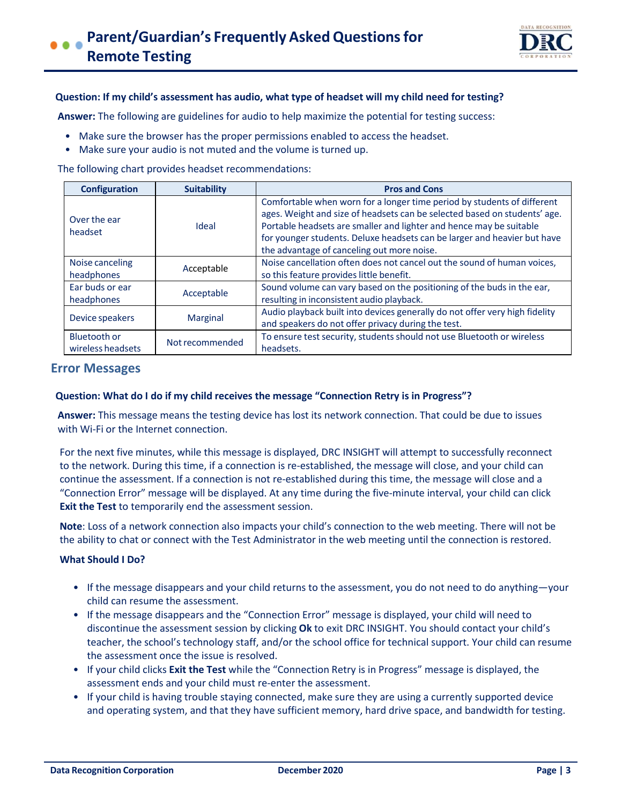

#### **Question: If my child's assessment has audio, what type of headset will my child need for testing?**

**Answer:** The following are guidelines for audio to help maximize the potential for testing success:

- Make sure the browser has the proper permissions enabled to access the headset.
- Make sure your audio is not muted and the volume is turned up.

The following chart provides headset recommendations:

| <b>Configuration</b>              | <b>Suitability</b> | <b>Pros and Cons</b>                                                                                                                                                                                                                                                                                                                                  |
|-----------------------------------|--------------------|-------------------------------------------------------------------------------------------------------------------------------------------------------------------------------------------------------------------------------------------------------------------------------------------------------------------------------------------------------|
| Over the ear<br>headset           | Ideal              | Comfortable when worn for a longer time period by students of different<br>ages. Weight and size of headsets can be selected based on students' age.<br>Portable headsets are smaller and lighter and hence may be suitable<br>for younger students. Deluxe headsets can be larger and heavier but have<br>the advantage of canceling out more noise. |
| Noise canceling<br>headphones     | Acceptable         | Noise cancellation often does not cancel out the sound of human voices,<br>so this feature provides little benefit.                                                                                                                                                                                                                                   |
| Ear buds or ear<br>headphones     | Acceptable         | Sound volume can vary based on the positioning of the buds in the ear,<br>resulting in inconsistent audio playback.                                                                                                                                                                                                                                   |
| Device speakers                   | <b>Marginal</b>    | Audio playback built into devices generally do not offer very high fidelity<br>and speakers do not offer privacy during the test.                                                                                                                                                                                                                     |
| Bluetooth or<br>wireless headsets | Not recommended    | To ensure test security, students should not use Bluetooth or wireless<br>headsets.                                                                                                                                                                                                                                                                   |

## **Error Messages**

#### **Question: What do I do if my child receives the message "Connection Retry is in Progress"?**

**Answer:** This message means the testing device has lost its network connection. That could be due to issues with Wi-Fi or the Internet connection.

For the next five minutes, while this message is displayed, DRC INSIGHT will attempt to successfully reconnect to the network. During this time, if a connection is re-established, the message will close, and your child can continue the assessment. If a connection is not re-established during this time, the message will close and a "Connection Error" message will be displayed. At any time during the five-minute interval, your child can click **Exit the Test** to temporarily end the assessment session.

**Note**: Loss of a network connection also impacts your child's connection to the web meeting. There will not be the ability to chat or connect with the Test Administrator in the web meeting until the connection is restored.

## **What Should I Do?**

- If the message disappears and your child returns to the assessment, you do not need to do anything—your child can resume the assessment.
- If the message disappears and the "Connection Error" message is displayed, your child will need to discontinue the assessment session by clicking **Ok** to exit DRC INSIGHT. You should contact your child's teacher, the school's technology staff, and/or the school office for technical support. Your child can resume the assessment once the issue is resolved.
- If your child clicks **Exit the Test** while the "Connection Retry is in Progress" message is displayed, the assessment ends and your child must re-enter the assessment.
- If your child is having trouble staying connected, make sure they are using a currently supported device and operating system, and that they have sufficient memory, hard drive space, and bandwidth for testing.